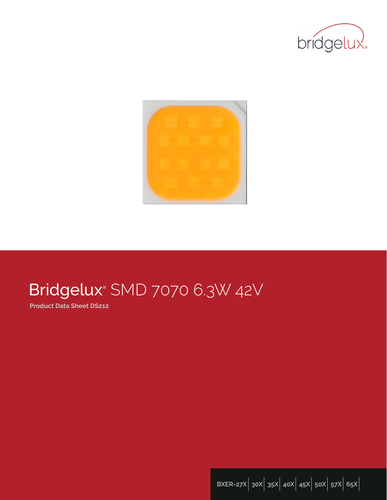



# Bridgelux® SMD 7070 6.3W 42V

**Product Data Sheet DS212**

**BXER-27X**| **30X**| **35X**| **40X**| **45X**| **50X**| **57X**| **65X**|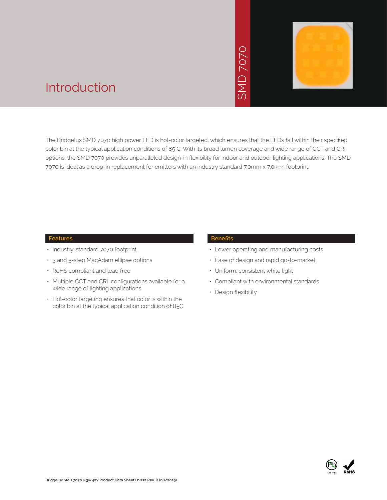# SMD 7070



# Introduction

The Bridgelux SMD 7070 high power LED is hot-color targeted, which ensures that the LEDs fall within their specified color bin at the typical application conditions of 85°C. With its broad lumen coverage and wide range of CCT and CRI options, the SMD 7070 provides unparalleled design-in flexibility for indoor and outdoor lighting applications. The SMD 7070 is ideal as a drop-in replacement for emitters with an industry standard 7.0mm x 7.0mm footprint. • Notich ensures that<br>
bad lumen coveragy<br>
for indoor and out<br>
stry standard 7.0mm<br>
Benefits<br>
• Lower operating<br>
• Ease of design a<br>
• Uniform, consiste<br>
• Compliant with e<br>
• Design flexibility

## **Features**

- Industry-standard 7070 footprint
- 3 and 5-step MacAdam ellipse options
- RoHS compliant and lead free
- Multiple CCT and CRI configurations available for a wide range of lighting applications
- Hot-color targeting ensures that color is within the color bin at the typical application condition of 85C

## **Benefits**

- Lower operating and manufacturing costs
- Ease of design and rapid go-to-market
- Uniform, consistent white light
- Compliant with environmental standards
- Design flexibility

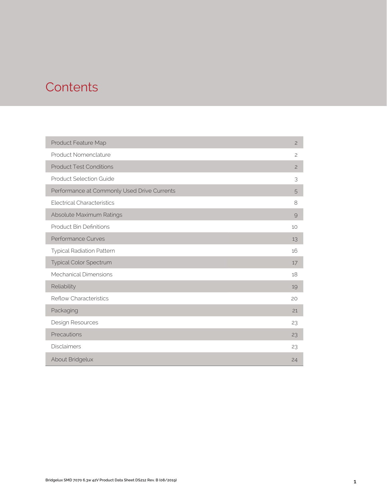# **Contents**

| Product Feature Map                         | $\mathbf{2}$   |
|---------------------------------------------|----------------|
| Product Nomenclature                        | $\mathbf{2}$   |
| <b>Product Test Conditions</b>              | $\overline{c}$ |
| <b>Product Selection Guide</b>              | 3              |
| Performance at Commonly Used Drive Currents | 5              |
| <b>Electrical Characteristics</b>           | 8              |
| Absolute Maximum Ratings                    | $\mathcal{Q}$  |
| <b>Product Bin Definitions</b>              | 10             |
| <b>Performance Curves</b>                   | 13             |
| <b>Typical Radiation Pattern</b>            | 16             |
| Typical Color Spectrum                      | 17             |
| <b>Mechanical Dimensions</b>                | 18             |
| Reliability                                 | 19             |
| <b>Reflow Characteristics</b>               | 20             |
| Packaging                                   | 21             |
| Design Resources                            | 23             |
| Precautions                                 | 23             |
| <b>Disclaimers</b>                          | 23             |
| About Bridgelux                             | 24             |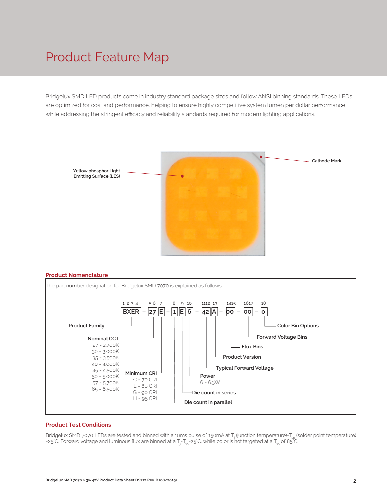# Product Feature Map

Bridgelux SMD LED products come in industry standard package sizes and follow ANSI binning standards. These LEDs are optimized for cost and performance, helping to ensure highly competitive system lumen per dollar performance while addressing the stringent efficacy and reliability standards required for modern lighting applications.



#### **Product Nomenclature**



## **Product Test Conditions**

Bridgelux SMD 7070 LEDs are tested and binned with a 10ms pulse of 150mA at T<sub>j</sub> (junction temperature)=T<sub>sp</sub> (solder point temperature) =25°C. Forward voltage and luminous flux are binned at a T<sub>j</sub>-T<sub>sp</sub>=25°C, while color is hot targeted at a T<sub>sp</sub> of 85°C.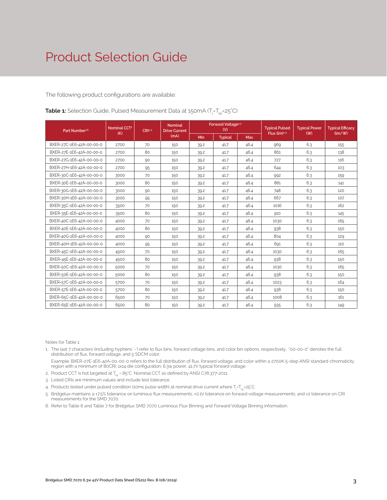The following product configurations are available:

| Part Number <sup>1,6</sup> | Nominal CCT <sup>2</sup> | CRI3.5 | <b>Nominal</b><br><b>Drive Current</b> |      | Forward Voltage <sup>4.5</sup><br>(V) |            | <b>Typical Pulsed</b> | <b>Typical Power</b> | <b>Typical Efficacy</b> |
|----------------------------|--------------------------|--------|----------------------------------------|------|---------------------------------------|------------|-----------------------|----------------------|-------------------------|
|                            | (K)                      |        | (mA)                                   | Min  | <b>Typical</b>                        | <b>Max</b> | Flux $(lm)^{4.5}$     | (W)                  | (lm/W)                  |
| BXER-27C-1E6-42A-00-00-0   | 2700                     | 70     | 150                                    | 39.2 | 41.7                                  | 46.4       | 969                   | 6.3                  | 155                     |
| BXER-27E-1E6-42A-00-00-0   | 2700                     | 80     | 150                                    | 39.2 | 41.7                                  | 46.4       | 861                   | 6.3                  | 138                     |
| BXER-27G-1E6-42A-00-00-0   | 2700                     | 90     | 150                                    | 39.2 | 41.7                                  | 46.4       | 727                   | 6.3                  | 116                     |
| BXER-27H-1E6-42A-00-00-0   | 2700                     | 95     | 150                                    | 39.2 | 41.7                                  | 46.4       | 644                   | 6.3                  | 103                     |
| BXER-30C-1E6-42A-00-00-0   | 3000                     | 70     | 150                                    | 39.2 | 41.7                                  | 46.4       | 992                   | 6.3                  | 159                     |
| BXER-30E-1E6-42A-00-00-0   | 3000                     | 80     | 150                                    | 39.2 | 41.7                                  | 46.4       | 881                   | 6.3                  | 141                     |
| BXER-30G-1E6-42A-00-00-0   | 3000                     | 90     | 150                                    | 39.2 | 41.7                                  | 46.4       | 748                   | 6.3                  | 120                     |
| BXER-30H-1E6-42A-00-00-0   | 3000                     | 95     | 150                                    | 39.2 | 41.7                                  | 46.4       | 667                   | 6.3                  | 107                     |
| BXER-35C-1E6-42A-00-00-0   | 3500                     | 70     | 150                                    | 39.2 | 41.7                                  | 46.4       | 1016                  | 6.3                  | 162                     |
| BXER-35E-1E6-42A-00-00-0   | 3500                     | 80     | 150                                    | 39.2 | 41.7                                  | 46.4       | 910                   | 6.3                  | 145                     |
| BXER-40C-1E6-42A-00-00-0   | 4000                     | 70     | 150                                    | 39.2 | 41.7                                  | 46.4       | 1030                  | 6.3                  | 165                     |
| BXER-40E-1E6-42A-00-00-0   | 4000                     | 80     | 150                                    | 39.2 | 41.7                                  | 46.4       | 938                   | 6.3                  | 150                     |
| BXER-40G-1E6-42A-00-00-0   | 4000                     | 90     | 150                                    | 39.2 | 41.7                                  | 46.4       | 804                   | 6.3                  | 129                     |
| BXER-40H-1E6-42A-00-00-0   | 4000                     | 95     | 150                                    | 39.2 | 41.7                                  | 46.4       | 691                   | 6.3                  | 110                     |
| BXER-45C-1E6-42A-00-00-0   | 4500                     | 70     | 150                                    | 39.2 | 41.7                                  | 46.4       | 1030                  | 6.3                  | 165                     |
| BXER-45E-1E6-42A-00-00-0   | 4500                     | 80     | 150                                    | 39.2 | 41.7                                  | 46.4       | 938                   | 6.3                  | 150                     |
| BXER-50C-1E6-42A-00-00-0   | 5000                     | 70     | 150                                    | 39.2 | 41.7                                  | 46.4       | 1030                  | 6.3                  | 165                     |
| BXER-50E-1E6-42A-00-00-0   | 5000                     | 80     | 150                                    | 39.2 | 41.7                                  | 46.4       | 938                   | 6.3                  | 150                     |
| BXER-57C-1E6-42A-00-00-0   | 5700                     | 70     | 150                                    | 39.2 | 41.7                                  | 46.4       | 1023                  | 6.3                  | 164                     |
| BXER-57E-1E6-42A-00-00-0   | 5700                     | 80     | 150                                    | 39.2 | 41.7                                  | 46.4       | 938                   | 6.3                  | 150                     |
| BXER-65C-1E6-42A-00-00-0   | 6500                     | 70     | 150                                    | 39.2 | 41.7                                  | 46.4       | 1008                  | 6.3                  | 161                     |
| BXER-65E-1E6-42A-00-00-0   | 6500                     | 80     | 150                                    | 39.2 | 41.7                                  | 46.4       | 935                   | 6.3                  | 149                     |

**Table 1:** Selection Guide, Pulsed Measurement Data at 150mA (T<sub>j</sub>=T<sub>sp</sub>=25°C)

Notes for Table 1:

1. The last 7 characters (including hyphens '-') refer to flux bins, forward voltage bins, and color bin options, respectively. "00-00-0" denotes the full distribution of flux, forward voltage, and 5 SDCM color.

 Example: BXER-27E-1E6-42A-00-00-0 refers to the full distribution of flux, forward voltage, and color within a 2700K 5-step ANSI standard chromaticity region with a minimum of 80CRI, 1x14 die configuration, 6.3w power, 41.7V typical forward voltage.

- 2. Product CCT is hot targeted at  $T_{es}$  = 85°C. Nominal CCT as defined by ANSI C78.377-2011.
- 3. Listed CRIs are minimum values and include test tolerance.
- 4. Products tested under pulsed condition (10ms pulse width) at nominal drive current where T<sub>i</sub>-T<sub>sp</sub>-25°C.
- 5. Bridgelux maintains a ±7.5% tolerance on luminous flux measurements, ±0.1V tolerance on forward voltage measurements, and ±2 tolerance on CRI measurements for the SMD 7070.
- 6. Refer to Table 6 and Table 7 for Bridgelux SMD 7070 Luminous Flux Binning and Forward Voltage Binning information.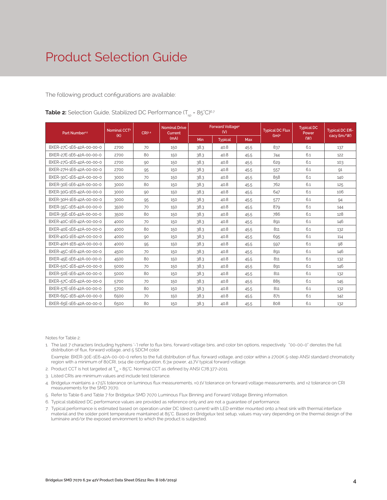The following product configurations are available:

| <b>Table 2:</b> Selection Guide, Stabilized DC Performance $(T_{\rm cm} = 85^{\circ}C)^{6.7}$ |  |  |  |
|-----------------------------------------------------------------------------------------------|--|--|--|
|                                                                                               |  |  |  |

| Part Number <sup>15</sup> | Nominal CCT <sup>2</sup><br>(K) | CRI34 | <b>Nominal Drive</b><br>Current |      | Forward Voltage <sup>4</sup><br>(V) |            | <b>Typical DC Flux</b><br>(lm) <sup>4</sup> | <b>Typical DC</b><br>Power | <b>Typical DC Effi-</b><br>cacy (lm/W) |
|---------------------------|---------------------------------|-------|---------------------------------|------|-------------------------------------|------------|---------------------------------------------|----------------------------|----------------------------------------|
|                           |                                 |       | (mA)                            | Min  | <b>Typical</b>                      | <b>Max</b> |                                             | (W)                        |                                        |
| BXER-27C-1E6-42A-00-00-0  | 2700                            | 70    | 150                             | 38.3 | 40.8                                | 45.5       | 837                                         | 6.1                        | 137                                    |
| BXER-27E-1E6-42A-00-00-0  | 2700                            | 80    | 150                             | 38.3 | 40.8                                | 45.5       | 744                                         | 6.1                        | 122                                    |
| BXER-27G-1E6-42A-00-00-0  | 2700                            | 90    | 150                             | 38.3 | 40.8                                | 45.5       | 629                                         | 6.1                        | 103                                    |
| BXER-27H-1E6-42A-00-00-0  | 2700                            | 95    | 150                             | 38.3 | 40.8                                | 45.5       | 557                                         | 6.1                        | 91                                     |
| BXER-30C-1E6-42A-00-00-0  | 3000                            | 70    | 150                             | 38.3 | 40.8                                | 45.5       | 858                                         | 6.1                        | 140                                    |
| BXER-30E-1E6-42A-00-00-0  | 3000                            | 80    | 150                             | 38.3 | 40.8                                | 45.5       | 762                                         | 6.1                        | 125                                    |
| BXER-30G-1E6-42A-00-00-0  | 3000                            | 90    | 150                             | 38.3 | 40.8                                | 45.5       | 647                                         | 6.1                        | 106                                    |
| BXER-30H-1E6-42A-00-00-0  | 3000                            | 95    | 150                             | 38.3 | 40.8                                | 45.5       | 577                                         | 6.1                        | 94                                     |
| BXER-35C-1E6-42A-00-00-0  | 3500                            | 70    | 150                             | 38.3 | 40.8                                | 45.5       | 879                                         | 6.1                        | 144                                    |
| BXER-35E-1E6-42A-00-00-0  | 3500                            | 80    | 150                             | 38.3 | 40.8                                | 45.5       | 786                                         | 6.1                        | 128                                    |
| BXER-40C-1E6-42A-00-00-0  | 4000                            | 70    | 150                             | 38.3 | 40.8                                | 45.5       | 891                                         | 6.1                        | 146                                    |
| BXER-40E-1E6-42A-00-00-0  | 4000                            | 80    | 150                             | 38.3 | 40.8                                | 45.5       | 811                                         | 6.1                        | 132                                    |
| BXER-40G-1E6-42A-00-00-0  | 4000                            | 90    | 150                             | 38.3 | 40.8                                | 45.5       | 695                                         | 6.1                        | 114                                    |
| BXER-40H-1E6-42A-00-00-0  | 4000                            | 95    | 150                             | 38.3 | 40.8                                | 45.5       | 597                                         | 6.1                        | 98                                     |
| BXER-45C-1E6-42A-00-00-0  | 4500                            | 70    | 150                             | 38.3 | 40.8                                | 45.5       | 891                                         | 6.1                        | 146                                    |
| BXER-45E-1E6-42A-00-00-0  | 4500                            | 80    | 150                             | 38.3 | 40.8                                | 45.5       | 811                                         | 6.1                        | 132                                    |
| BXER-50C-1E6-42A-00-00-0  | 5000                            | 70    | 150                             | 38.3 | 40.8                                | 45.5       | 891                                         | 6.1                        | 146                                    |
| BXER-50E-1E6-42A-00-00-0  | 5000                            | 80    | 150                             | 38.3 | 40.8                                | 45.5       | 811                                         | 6.1                        | 132                                    |
| BXER-57C-1E6-42A-00-00-0  | 5700                            | 70    | 150                             | 38.3 | 40.8                                | 45.5       | 885                                         | 6.1                        | 145                                    |
| BXER-57E-1E6-42A-00-00-0  | 5700                            | 80    | 150                             | 38.3 | 40.8                                | 45.5       | 811                                         | 6.1                        | 132                                    |
| BXER-65C-1E6-42A-00-00-0  | 6500                            | 70    | 150                             | 38.3 | 40.8                                | 45.5       | 871                                         | 6.1                        | 142                                    |
| BXER-65E-1E6-42A-00-00-0  | 6500                            | 80    | 150                             | 38.3 | 40.8                                | 45.5       | 808                                         | 6.1                        | 132                                    |

Notes for Table 2:

1. The last 7 characters (including hyphens '-') refer to flux bins, forward voltage bins, and color bin options, respectively. "00-00-0" denotes the full distribution of flux, forward voltage, and 5 SDCM color.

 Example: BXER-30E-1E6-42A-00-00-0 refers to the full distribution of flux, forward voltage, and color within a 2700K 5-step ANSI standard chromaticity region with a minimum of 80CRI, 1x14 die configuration, 6.3w power, 41.7V typical forward voltage.

- 2. Product CCT is hot targeted at  $T_{sp}$  = 85°C. Nominal CCT as defined by ANSI C78.377-2011.
- 3. Listed CRIs are minimum values and include test tolerance.
- 4. Bridgelux maintains a ±7.5% tolerance on luminous flux measurements, ±0.1V tolerance on forward voltage measurements, and ±2 tolerance on CRI measurements for the SMD 7070.
- 5. Refer to Table 6 and Table 7 for Bridgelux SMD 7070 Luminous Flux Binning and Forward Voltage Binning information.
- 6. Typical stabilized DC performance values are provided as reference only and are not a guarantee of performance.
- 7. Typical performance is estimated based on operation under DC (direct current) with LED emitter mounted onto a heat sink with thermal interface material and the solder point temperature maintained at 85°C. Based on Bridgelux test setup, values may vary depending on the thermal design of the luminaire and/or the exposed environment to which the product is subjected.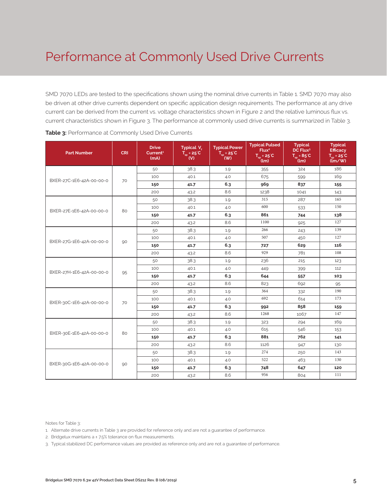# Performance at Commonly Used Drive Currents

SMD 7070 LEDs are tested to the specifications shown using the nominal drive currents in Table 1. SMD 7070 may also be driven at other drive currents dependent on specific application design requirements. The performance at any drive current can be derived from the current vs. voltage characteristics shown in Figure 2 and the relative luminous flux vs. current characteristics shown in Figure 3. The performance at commonly used drive currents is summarized in Table 3.

| <b>Part Number</b>       | <b>CRI</b> | <b>Drive</b><br>Current <sup>1</sup><br>(mA) | Typical V.<br>$\overline{T}_{\rm sp}$ = 25 °C<br>$\mathbf{w}$ | <b>Typical Power</b><br>$T_{sp} = 25^{\circ}C$<br>$($ W) | <b>Typical Pulsed</b><br>Flux <sup>2</sup><br>$T_{sp}$ = 25°C<br>(lm) | <b>Typical</b><br>DC Flux <sup>3</sup><br>$T_{\text{em}}$ = 85 $^{\circ}$ C<br>(lm) | <b>Typical</b><br><b>Efficacy</b><br>$T_{\text{cm}}$ = 25 $^{\circ}$ C<br>$\lim_{x \to 0}$ |
|--------------------------|------------|----------------------------------------------|---------------------------------------------------------------|----------------------------------------------------------|-----------------------------------------------------------------------|-------------------------------------------------------------------------------------|--------------------------------------------------------------------------------------------|
|                          |            | 50                                           | 38.3                                                          | 1.9                                                      | 355                                                                   | 324                                                                                 | 186                                                                                        |
| BXER-27C-1E6-42A-00-00-0 | 70         | 100                                          | 40.1                                                          | 4.0                                                      | 675                                                                   | 599                                                                                 | 169                                                                                        |
|                          |            | 150                                          | 41.7                                                          | 6.3                                                      | 969                                                                   | 837                                                                                 | 155                                                                                        |
|                          |            | 200                                          | 43.2                                                          | 8.6                                                      | 1238                                                                  | 1041                                                                                | 143                                                                                        |
|                          |            | 50                                           | 38.3                                                          | 1.9                                                      | 315                                                                   | 287                                                                                 | 165                                                                                        |
| BXER-27E-1E6-42A-00-00-0 | 80         | 100                                          | 40.1                                                          | 4.0                                                      | 600                                                                   | 533                                                                                 | 150                                                                                        |
|                          |            | 150                                          | 41.7                                                          | 6.3                                                      | 861                                                                   | 744                                                                                 | 138                                                                                        |
|                          |            | 200                                          | 43.2                                                          | 8.6                                                      | 1100                                                                  | 925                                                                                 | 127                                                                                        |
|                          |            | 50                                           | 38.3                                                          | 1.9                                                      | 266                                                                   | 243                                                                                 | 139                                                                                        |
| BXER-27G-1E6-42A-00-00-0 | 90         | 100                                          | 40.1                                                          | 4.0                                                      | 507                                                                   | 450                                                                                 | 127                                                                                        |
|                          |            | 150                                          | 41.7                                                          | 6.3                                                      | 727                                                                   | 629                                                                                 | 116                                                                                        |
|                          |            | 200                                          | 43.2                                                          | 8.6                                                      | 929                                                                   | 781                                                                                 | 108                                                                                        |
|                          | 95         | 50                                           | 38.3                                                          | 1.9                                                      | 236                                                                   | 215                                                                                 | 123                                                                                        |
| BXER-27H-1E6-42A-00-00-0 |            | 100                                          | 40.1                                                          | 4.0                                                      | 449                                                                   | 399                                                                                 | 112                                                                                        |
|                          |            | 150                                          | 41.7                                                          | 6.3                                                      | 644                                                                   | 557                                                                                 | 103                                                                                        |
|                          |            | 200                                          | 43.2                                                          | 8.6                                                      | 823                                                                   | 692                                                                                 | 95                                                                                         |
|                          |            | 50                                           | 38.3                                                          | 1.9                                                      | 364                                                                   | 332                                                                                 | 190                                                                                        |
| BXER-30C-1E6-42A-00-00-0 | 70         | 100                                          | 40.1                                                          | 4.0                                                      | 692                                                                   | 614                                                                                 | 173                                                                                        |
|                          |            | 150                                          | 41.7                                                          | 6.3                                                      | 992                                                                   | 858                                                                                 | 159                                                                                        |
|                          |            | 200                                          | 43.2                                                          | 8.6                                                      | 1268                                                                  | 1067                                                                                | 147                                                                                        |
|                          |            | 50                                           | 38.3                                                          | 1.9                                                      | 323                                                                   | 294                                                                                 | 169                                                                                        |
| BXER-30E-1E6-42A-00-00-0 | 80         | 100                                          | 40.1                                                          | 4.0                                                      | 615                                                                   | 546                                                                                 | 153                                                                                        |
|                          |            | 150                                          | 41.7                                                          | 6.3                                                      | 881                                                                   | 762                                                                                 | 141                                                                                        |
|                          |            | 200                                          | 43.2                                                          | 8.6                                                      | 1126                                                                  | 947                                                                                 | 130                                                                                        |
|                          |            | 50                                           | 38.3                                                          | 1.9                                                      | 274                                                                   | 250                                                                                 | 143                                                                                        |
| BXER-30G-1E6-42A-00-00-0 | 90         | 100                                          | 40.1                                                          | 4.0                                                      | 522                                                                   | 463                                                                                 | 130                                                                                        |
|                          |            | 150                                          | 41.7                                                          | 6.3                                                      | 748                                                                   | 647                                                                                 | 120                                                                                        |
|                          |            | 200                                          | 43.2                                                          | 8.6                                                      | 956                                                                   | 804                                                                                 | 111                                                                                        |

Notes for Table 3:

2. Bridgelux maintains a ± 7.5% tolerance on flux measurements.

3. Typical stabilized DC performance values are provided as reference only and are not a guarantee of performance.

<sup>1.</sup> Alternate drive currents in Table 3 are provided for reference only and are not a guarantee of performance.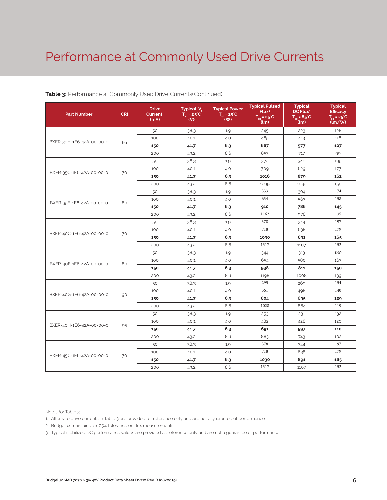# Performance at Commonly Used Drive Currents

| <b>Part Number</b>       | <b>CRI</b> | <b>Drive</b><br>Current <sup>1</sup><br>(mA) | Typical V <sub>c</sub><br>$T_{\rm sp}$ = 25°C<br>(V) | <b>Typical Power</b><br>$T_{\rm SD} = 25^{\circ}C$<br>(W) | <b>Typical Pulsed</b><br>Flux <sup>2</sup><br>$T_{\rm SD}$ = 25°C<br>(lm) | <b>Typical</b><br>DC Flux <sup>3</sup><br>$T_{\dots} = 85^{\circ}C$<br>(lm) | <b>Typical</b><br><b>Efficacy</b><br>$T_{\dots}$ = 25°C<br>$\lim$ /w |
|--------------------------|------------|----------------------------------------------|------------------------------------------------------|-----------------------------------------------------------|---------------------------------------------------------------------------|-----------------------------------------------------------------------------|----------------------------------------------------------------------|
|                          |            | 50                                           | 38.3                                                 | 1.9                                                       | 245                                                                       | 223                                                                         | 128                                                                  |
| BXER-30H-1E6-42A-00-00-0 |            | 100                                          | 40.1                                                 | 4.0                                                       | 465                                                                       | 413                                                                         | 116                                                                  |
|                          | 95         | 150                                          | 41.7                                                 | 6.3                                                       | 667                                                                       | 577                                                                         | 107                                                                  |
|                          |            | 200                                          | 43.2                                                 | 8.6                                                       | 853                                                                       | 717                                                                         | 99                                                                   |
|                          |            | 50                                           | 38.3                                                 | 1.9                                                       | 372                                                                       | 340                                                                         | 195                                                                  |
| BXER-35C-1E6-42A-00-00-0 | 70         | 100                                          | 40.1                                                 | 4.0                                                       | 709                                                                       | 629                                                                         | 177                                                                  |
|                          |            | 150                                          | 41.7                                                 | 6.3                                                       | 1016                                                                      | 879                                                                         | 162                                                                  |
|                          |            | 200                                          | 43.2                                                 | 8.6                                                       | 1299                                                                      | 1092                                                                        | 150                                                                  |
|                          |            | 50                                           | 38.3                                                 | 1.9                                                       | 333                                                                       | 304                                                                         | 174                                                                  |
| BXER-35E-1E6-42A-00-00-0 | 80         | 100                                          | 40.1                                                 | 4.0                                                       | 634                                                                       | 563                                                                         | 158                                                                  |
|                          |            | 150                                          | 41.7                                                 | 6.3                                                       | 910                                                                       | 786                                                                         | 145                                                                  |
|                          |            | 200                                          | 43.2                                                 | 8.6                                                       | 1162                                                                      | 978                                                                         | 135                                                                  |
| BXER-40C-1E6-42A-00-00-0 | 70         | 50                                           | 38.3                                                 | 1.9                                                       | 378                                                                       | 344                                                                         | 197                                                                  |
|                          |            | 100                                          | 40.1                                                 | 4.0                                                       | 718                                                                       | 638                                                                         | 179                                                                  |
|                          |            | 150                                          | 41.7                                                 | 6.3                                                       | 1030                                                                      | 891                                                                         | 165                                                                  |
|                          |            | 200                                          | 43.2                                                 | 8.6                                                       | 1317                                                                      | 1107                                                                        | 152                                                                  |
|                          | 80         | 50                                           | 38.3                                                 | 1.9                                                       | 344                                                                       | 313                                                                         | 180                                                                  |
| BXER-40E-1E6-42A-00-00-0 |            | 100                                          | 40.1                                                 | 4.0                                                       | 654                                                                       | 580                                                                         | 163                                                                  |
|                          |            | 150                                          | 41.7                                                 | 6.3                                                       | 938                                                                       | 811                                                                         | 150                                                                  |
|                          |            | 200                                          | 43.2                                                 | 8.6                                                       | 1198                                                                      | 1008                                                                        | 139                                                                  |
|                          |            | 50                                           | 38.3                                                 | 1.9                                                       | 295                                                                       | 269                                                                         | 154                                                                  |
| BXER-40G-1E6-42A-00-00-0 | 90         | 100                                          | 40.1                                                 | 4.0                                                       | 561                                                                       | 498                                                                         | 140                                                                  |
|                          |            | 150                                          | 41.7                                                 | 6.3                                                       | 804                                                                       | 695                                                                         | 129                                                                  |
|                          |            | 200                                          | 43.2                                                 | 8.6                                                       | 1028                                                                      | 864                                                                         | 119                                                                  |
|                          |            | 50                                           | 38.3                                                 | 1.9                                                       | 253                                                                       | 231                                                                         | 132                                                                  |
| BXER-40H-1E6-42A-00-00-0 | 95         | 100                                          | 40.1                                                 | 4.0                                                       | 482                                                                       | 428                                                                         | 120                                                                  |
|                          |            | 150                                          | 41.7                                                 | 6.3                                                       | 691                                                                       | 597                                                                         | 110                                                                  |
|                          |            | 200                                          | 43.2                                                 | 8.6                                                       | 883                                                                       | 743                                                                         | 102                                                                  |
|                          |            | 50                                           | 38.3                                                 | 1.9                                                       | 378                                                                       | 344                                                                         | 197                                                                  |
| BXER-45C-1E6-42A-00-00-0 | 70         | 100                                          | 40.1                                                 | 4.0                                                       | 718                                                                       | 638                                                                         | 179                                                                  |
|                          |            | 150                                          | 41.7                                                 | 6.3                                                       | 1030                                                                      | 891                                                                         | 165                                                                  |
|                          |            | 200                                          | 43.2                                                 | 8.6                                                       | 1317                                                                      | 1107                                                                        | 152                                                                  |

## **Table 3:** Performance at Commonly Used Drive Currents(Continued)

Notes for Table 3:

1. Alternate drive currents in Table 3 are provided for reference only and are not a guarantee of performance.

2. Bridgelux maintains a ± 7.5% tolerance on flux measurements.

3. Typical stabilized DC performance values are provided as reference only and are not a guarantee of performance.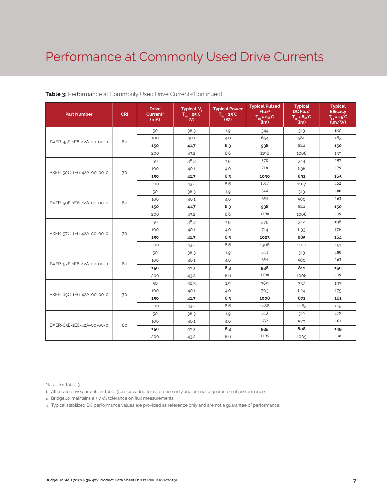# Performance at Commonly Used Drive Currents

| <b>Part Number</b>       | <b>CRI</b> | <b>Drive</b><br>Current <sup>1</sup><br>(mA) | Typical V <sub>e</sub><br>$T_{so} = 25^{\circ}C$<br>(V) | <b>Typical Power</b><br>$\overline{T_{\rm SD}}$ = 25 <sup>°</sup> C<br>(W) | <b>Typical Pulsed</b><br>Flux <sup>2</sup><br>$T_{\rm SD}$ = 25°C<br>้(lm) | <b>Typical</b><br>DC Flux <sup>3</sup><br>$T_{\rm so} = 85^{\circ}C$<br>(lm) | <b>Typical</b><br><b>Efficacy</b><br>$T_{\dots}$ = 25°C<br>$\lim$ /w |
|--------------------------|------------|----------------------------------------------|---------------------------------------------------------|----------------------------------------------------------------------------|----------------------------------------------------------------------------|------------------------------------------------------------------------------|----------------------------------------------------------------------|
|                          |            | 50                                           | 38.3                                                    | 1.9                                                                        | 344                                                                        | 313                                                                          | 180                                                                  |
| BXER-45E-1E6-42A-00-00-0 | 80         | 100                                          | 40.1                                                    | 4.0                                                                        | 654                                                                        | 580                                                                          | 163                                                                  |
|                          |            | 150                                          | 41.7                                                    | 6.3                                                                        | 938                                                                        | 811                                                                          | 150                                                                  |
|                          |            | 200                                          | 43.2                                                    | 8.6                                                                        | 1198                                                                       | 1008                                                                         | 139                                                                  |
|                          |            | 50                                           | 38.3                                                    | 1.9                                                                        | 378                                                                        | 344                                                                          | 197                                                                  |
| BXER-50C-1E6-42A-00-00-0 | 70         | 100                                          | 40.1                                                    | 4.0                                                                        | 718                                                                        | 638                                                                          | 179                                                                  |
|                          |            | 150                                          | 41.7                                                    | 6.3                                                                        | 1030                                                                       | 891                                                                          | 165                                                                  |
|                          |            | 200                                          | 43.2                                                    | 8.6                                                                        | 1317                                                                       | 1107                                                                         | 152                                                                  |
|                          |            | 50                                           | 38.3                                                    | 1.9                                                                        | 344                                                                        | 313                                                                          | 180                                                                  |
| BXER-50E-1E6-42A-00-00-0 | 80         | 100                                          | 40.1                                                    | 4.0                                                                        | 654                                                                        | 580                                                                          | 163                                                                  |
|                          |            | 150                                          | 41.7                                                    | 6.3                                                                        | 938                                                                        | 811                                                                          | 150                                                                  |
|                          |            | 200                                          | 43.2                                                    | 8.6                                                                        | 1198                                                                       | 1008                                                                         | 139                                                                  |
|                          | 70         | 50                                           | 38.3                                                    | 1.9                                                                        | 375                                                                        | 342                                                                          | 196                                                                  |
| BXER-57C-1E6-42A-00-00-0 |            | 100                                          | 40.1                                                    | 4.0                                                                        | 714                                                                        | 633                                                                          | 178                                                                  |
|                          |            | 150                                          | 41.7                                                    | 6.3                                                                        | 1023                                                                       | 885                                                                          | 164                                                                  |
|                          |            | 200                                          | 43.2                                                    | 8.6                                                                        | 1308                                                                       | 1100                                                                         | 151                                                                  |
|                          |            | 50                                           | 38.3                                                    | 1.9                                                                        | 344                                                                        | 313                                                                          | 180                                                                  |
| BXER-57E-1E6-42A-00-00-0 | 80         | 100                                          | 40.1                                                    | 4.0                                                                        | 654                                                                        | 580                                                                          | 163                                                                  |
|                          |            | 150                                          | 41.7                                                    | 6.3                                                                        | 938                                                                        | 811                                                                          | 150                                                                  |
|                          |            | 200                                          | 43.2                                                    | 8.6                                                                        | 1198                                                                       | 1008                                                                         | 139                                                                  |
|                          |            | 50                                           | 38.3                                                    | 1.9                                                                        | 369                                                                        | 337                                                                          | 193                                                                  |
| BXER-65C-1E6-42A-00-00-0 | 70         | 100                                          | 40.1                                                    | 4.0                                                                        | 703                                                                        | 624                                                                          | 175                                                                  |
|                          |            | 150                                          | 41.7                                                    | 6.3                                                                        | 1008                                                                       | 871                                                                          | 161                                                                  |
|                          |            | 200                                          | 43.2                                                    | 8.6                                                                        | 1288                                                                       | 1083                                                                         | 149                                                                  |
|                          |            | 50                                           | 38.3                                                    | 1.9                                                                        | 343                                                                        | 312                                                                          | 179                                                                  |
| BXER-65E-1E6-42A-00-00-0 | 80         | 100                                          | 40.1                                                    | 4.0                                                                        | 652                                                                        | 579                                                                          | 163                                                                  |
|                          |            | 150                                          | 41.7                                                    | 6.3                                                                        | 935                                                                        | 808                                                                          | 149                                                                  |
|                          |            | 200                                          | 43.2                                                    | 8.6                                                                        | 1195                                                                       | 1005                                                                         | 138                                                                  |

## **Table 3:** Performance at Commonly Used Drive Currents(Continued)

Notes for Table 3:

1. Alternate drive currents in Table 3 are provided for reference only and are not a guarantee of performance.

2. Bridgelux maintains a ± 7.5% tolerance on flux measurements.

3. Typical stabilized DC performance values are provided as reference only and are not a guarantee of performance.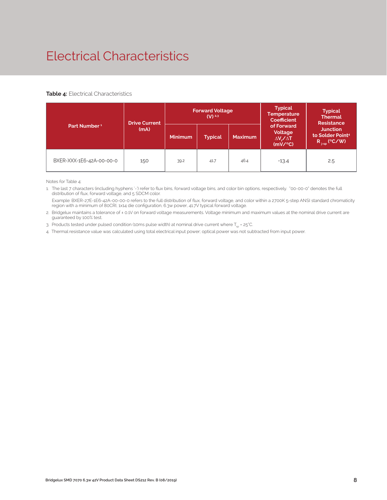# Electrical Characteristics

## **Table 4:** Electrical Characteristics

|                          | <b>Drive Current</b> |                | <b>Forward Voltage</b><br>$(V)$ <sup>2.3</sup> |                | <b>Typical</b><br><b>Temperature</b><br><b>Coefficient</b>  | <b>Typical</b><br><b>Thermal</b><br><b>Resistance</b>                |  |
|--------------------------|----------------------|----------------|------------------------------------------------|----------------|-------------------------------------------------------------|----------------------------------------------------------------------|--|
| Part Number <sup>1</sup> | (mA)                 | <b>Minimum</b> | <b>Typical</b>                                 | <b>Maximum</b> | of Forward<br>Voltage<br>$\Delta V \sim \Delta T$<br>(mV/C) | <b>Junction</b><br>to Solder Point <sup>4</sup><br>$R_{j-sp}$ (°C/W) |  |
| BXER-XXX-1E6-42A-00-00-0 | 150                  | 39.2           | 41.7                                           | 46.4           | $-13.4$                                                     | 2.5                                                                  |  |

Notes for Table 4:

1. The last 7 characters (including hyphens '-') refer to flux bins, forward voltage bins, and color bin options, respectively. "00-00-0" denotes the full distribution of flux, forward voltage, and 5 SDCM color.

 Example: BXER-27E-1E6-42A-00-00-0 refers to the full distribution of flux, forward voltage, and color within a 2700K 5-step ANSI standard chromaticity region with a minimum of 80CRI, 1x14 die configuration, 6.3w power, 41.7V typical forward voltage.

2. Bridgelux maintains a tolerance of ± 0.1V on forward voltage measurements. Voltage minimum and maximum values at the nominal drive current are guaranteed by 100% test.

3. Products tested under pulsed condition (10ms pulse width) at nominal drive current where  $T_{\rm es}$  = 25°C.

4. Thermal resistance value was calculated using total electrical input power; optical power was not subtracted from input power.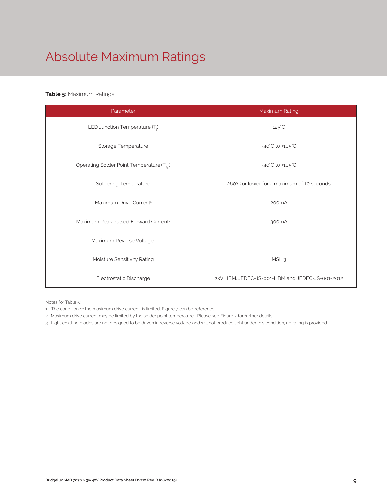# Absolute Maximum Ratings

# **Table 5:** Maximum Ratings

| Parameter                                             | Maximum Rating                                  |
|-------------------------------------------------------|-------------------------------------------------|
| LED Junction Temperature $(T_i)$                      | $125^{\circ}$ C                                 |
| Storage Temperature                                   | $-40^{\circ}$ C to $+105^{\circ}$ C             |
| Operating Solder Point Temperature (T <sub>Sp</sub> ) | -40°C to +105°C                                 |
| <b>Soldering Temperature</b>                          | 260°C or lower for a maximum of 10 seconds      |
| Maximum Drive Current <sup>1</sup>                    | 200 <sub>m</sub> A                              |
| Maximum Peak Pulsed Forward Current <sup>2</sup>      | 300 <sub>m</sub> A                              |
| Maximum Reverse Voltage <sup>3</sup>                  | $\overline{a}$                                  |
| Moisture Sensitivity Rating                           | MSL <sub>3</sub>                                |
| Electrostatic Discharge                               | 2kV HBM. JEDEC-JS-001-HBM and JEDEC-JS-001-2012 |

Notes for Table 5:

- 1. The condition of the maximum drive current is limited, Figure 7 can be reference.
- 2. Maximum drive current may be limited by the solder point temperature. Please see Figure 7 for further details.

3. Light emitting diodes are not designed to be driven in reverse voltage and will not produce light under this condition, no rating is provided.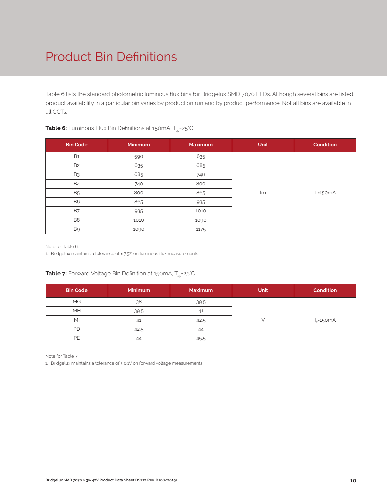# Product Bin Definitions

Table 6 lists the standard photometric luminous flux bins for Bridgelux SMD 7070 LEDs. Although several bins are listed, product availability in a particular bin varies by production run and by product performance. Not all bins are available in all CCTs.

| <b>Bin Code</b> | <b>Minimum</b> | <b>Maximum</b> | <b>Unit</b> | <b>Condition</b> |
|-----------------|----------------|----------------|-------------|------------------|
| <b>B1</b>       | 590            | 635            |             |                  |
| B <sub>2</sub>  | 635            | 685            |             |                  |
| B <sub>3</sub>  | 685            | 740            |             |                  |
| <b>B4</b>       | 740            | 800            |             |                  |
| <b>B5</b>       | 800            | 865            | lm          | $I_F = 150mA$    |
| <b>B6</b>       | 865            | 935            |             |                  |
| <b>B7</b>       | 935            | 1010           |             |                  |
| B <sub>8</sub>  | 1010           | 1090           |             |                  |
| B9              | 1090           | 1175           |             |                  |

# **Table 6:** Luminous Flux Bin Definitions at 150mA, T<sub>sp</sub>=25°C

Note for Table 6:

1. Bridgelux maintains a tolerance of ± 7.5% on luminous flux measurements.

## **Table 7:** Forward Voltage Bin Definition at 150mA, T<sub>sp</sub>=25°C

| <b>Bin Code</b> | <b>Minimum</b> | <b>Maximum</b> | <b>Unit</b> | <b>Condition</b> |
|-----------------|----------------|----------------|-------------|------------------|
| <b>MG</b>       | 38             | 39.5           |             |                  |
| MH              | 39.5           | 41             |             |                  |
| MI              | 41             | 42.5           |             | $IE=150mA$       |
| PD              | 42.5           | 44             |             |                  |
| PE              | 44             | 45.5           |             |                  |

Note for Table 7:

1. Bridgelux maintains a tolerance of ± 0.1V on forward voltage measurements.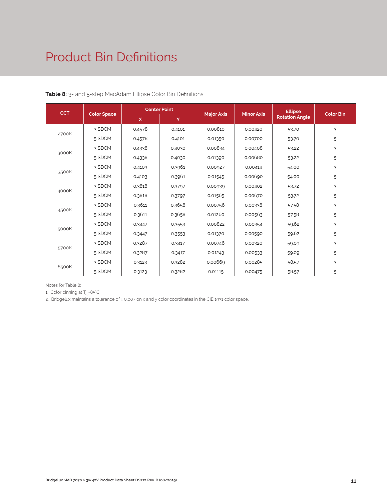# Product Bin Definitions

| <b>CCT</b> | <b>Color Space</b> | <b>Center Point</b> |        |                   |                   | <b>Ellipse</b>        |                  |
|------------|--------------------|---------------------|--------|-------------------|-------------------|-----------------------|------------------|
|            |                    | $\mathsf{x}$        | Y      | <b>Major Axis</b> | <b>Minor Axis</b> | <b>Rotation Angle</b> | <b>Color Bin</b> |
| 2700K      | 3 SDCM             | 0.4578              | 0.4101 | 0.00810           | 0.00420           | 53.70                 | 3                |
|            | 5 SDCM             | 0.4578              | 0.4101 | 0.01350           | 0.00700           | 53.70                 | 5                |
| 3000K      | 3 SDCM             | 0.4338              | 0.4030 | 0.00834           | 0.00408           | 53.22                 | 3                |
|            | 5 SDCM             | 0.4338              | 0.4030 | 0.01390           | 0.00680           | 53.22                 | 5                |
| 3500K      | 3 SDCM             | 0.4103              | 0.3961 | 0.00927           | 0.00414           | 54.00                 | 3                |
|            | 5 SDCM             | 0.4103              | 0.3961 | 0.01545           | 0.00690           | 54.00                 | 5                |
| 4000K      | 3 SDCM             | 0.3818              | 0.3797 | 0.00939           | 0.00402           | 53.72                 | 3                |
|            | 5 SDCM             | 0.3818              | 0.3797 | 0.01565           | 0.00670           | 53.72                 | 5                |
| 4500K      | 3 SDCM             | 0.3611              | 0.3658 | 0.00756           | 0.00338           | 57.58                 | 3                |
|            | 5 SDCM             | 0.3611              | 0.3658 | 0.01260           | 0.00563           | 57.58                 | 5                |
| 5000K      | 3 SDCM             | 0.3447              | 0.3553 | 0.00822           | 0.00354           | 59.62                 | 3                |
|            | 5 SDCM             | 0.3447              | 0.3553 | 0.01370           | 0.00590           | 59.62                 | 5                |
| 5700K      | 3 SDCM             | 0.3287              | 0.3417 | 0.00746           | 0.00320           | 59.09                 | 3                |
|            | 5 SDCM             | 0.3287              | 0.3417 | 0.01243           | 0.00533           | 59.09                 | 5                |
| 6500K      | 3 SDCM             | 0.3123              | 0.3282 | 0.00669           | 0.00285           | 58.57                 | 3                |
|            | 5 SDCM             | 0.3123              | 0.3282 | 0.01115           | 0.00475           | 58.57                 | 5                |

**Table 8:** 3- and 5-step MacAdam Ellipse Color Bin Definitions

Notes for Table 8:

1. Color binning at  $T_{\rm so}$ =85°C

2. Bridgelux maintains a tolerance of ± 0.007 on x and y color coordinates in the CIE 1931 color space.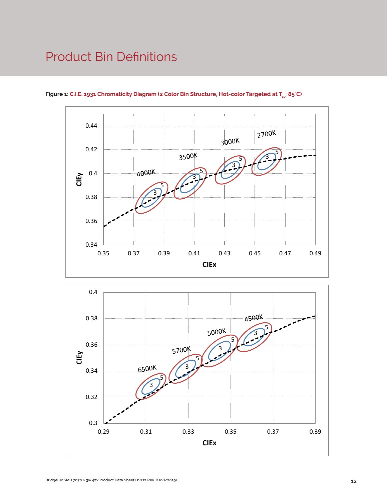# Product Bin Definitions



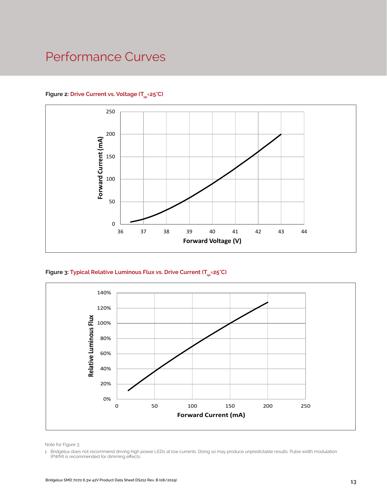# Performance Curves

## Figure 2: Drive Current vs. Voltage (T<sub>cn</sub>=25°C)



Figure 3: Typical Relative Luminous Flux vs. Drive Current (T<sub>sp</sub>=25°C)



Note for Figure 3:

1. Bridgelux does not recommend driving high power LEDs at low currents. Doing so may produce unpredictable results. Pulse width modulation (PWM) is recommended for dimming effects.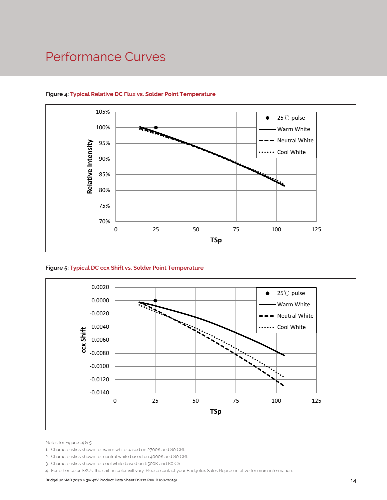# Performance Curves



# **Figure 4: Typical Relative DC Flux vs. Solder Point Temperature**





Notes for Figures 4 & 5:

- 1. Characteristics shown for warm white based on 2700K and 80 CRI.
- 2. Characteristics shown for neutral white based on 4000K and 80 CRI.
- 3. Characteristics shown for cool white based on 6500K and 80 CRI.
- 4. For other color SKUs, the shift in color will vary. Please contact your Bridgelux Sales Representative for more information.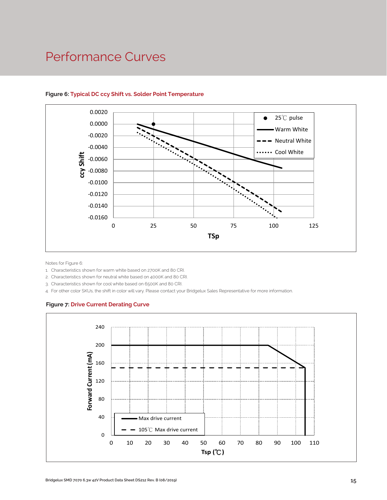# Performance Curves



## **Figure 6: Typical DC ccy Shift vs. Solder Point Temperature**

Notes for Figure 6:

1. Characteristics shown for warm white based on 2700K and 80 CRI.

2. Characteristics shown for neutral white based on 4000K and 80 CRI.

3. Characteristics shown for cool white based on 6500K and 80 CRI.

4. For other color SKUs, the shift in color will vary. Please contact your Bridgelux Sales Representative for more information.

## **Figure 7: Drive Current Derating Curve**

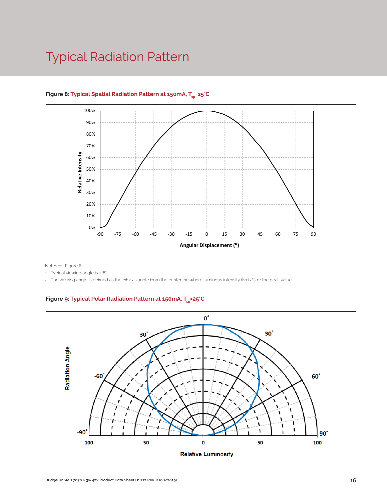# Typical Radiation Pattern



# Figure 8: Typical Spatial Radiation Pattern at 150mA, T<sub>cn</sub>=25°C

Notes for Figure 8:

1. Typical viewing angle is 116°.

2. The viewing angle is defined as the off axis angle from the centerline where luminous intensity (Iv) is ½ of the peak value.

# Figure 9: Typical Polar Radiation Pattern at 150mA, T<sub>sp</sub>=25°C

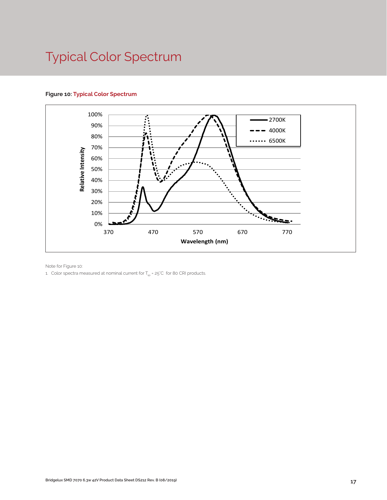# Typical Color Spectrum

## **Figure 10: Typical Color Spectrum**



Note for Figure 10:

1. Color spectra measured at nominal current for  $T_{sp}$  = 25°C for 80 CRI products.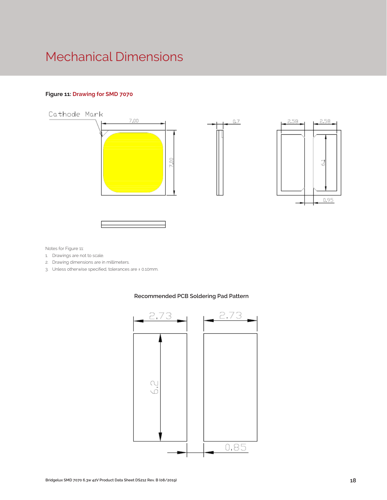# Mechanical Dimensions

## **Figure 11: Drawing for SMD 7070**



Notes for Figure 11:

- 1. Drawings are not to scale.
- 2. Drawing dimensions are in millimeters.
- 3. Unless otherwise specified, tolerances are ± 0.10mm.



## **Recommended PCB Soldering Pad Pattern**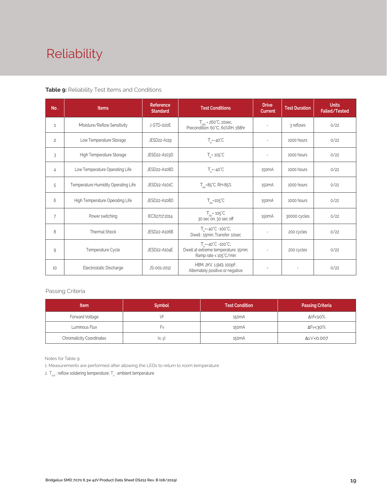# Reliability

## **Table 9:** Reliability Test Items and Conditions

| No.            | <b>Items</b>                        | <b>Reference</b><br><b>Standard</b> | <b>Test Conditions</b>                                                                                 | <b>Drive</b><br><b>Current</b> | <b>Test Duration</b> | <b>Units</b><br>Failed/Tested |
|----------------|-------------------------------------|-------------------------------------|--------------------------------------------------------------------------------------------------------|--------------------------------|----------------------|-------------------------------|
| 1              | Moisture/Reflow Sensitivity         | J-STD-020E                          | $T_{\text{cld}}$ = 260°C, 10sec,<br>Precondition: 60°C, 60%RH, 168hr                                   |                                | 3 reflows            | 0/22                          |
| $\overline{c}$ | Low Temperature Storage             | JESD22-A119                         | $T_a = -40^{\circ}C$                                                                                   | $\overline{\phantom{a}}$       | 1000 hours           | 0/22                          |
| 3              | High Temperature Storage            | JESD22-A103D                        | $T_a = 105^{\circ}C$                                                                                   | $\overline{a}$                 | 1000 hours           | 0/22                          |
| $\overline{4}$ | Low Temperature Operating Life      | JESD22-A108D                        | $T_s = -40^{\circ}C$                                                                                   | 150 <sub>m</sub> A             | 1000 hours           | 0/22                          |
| 5              | Temperature Humidity Operating Life | JESD22-A101C                        | $T_{SD} = 85^{\circ}$ C, RH=85%                                                                        | 150 <sub>m</sub> A             | 1000 hours           | 0/22                          |
| 6              | High Temperature Operating Life     | JESD22-A108D                        | $T_{\rm sn}$ =105°C                                                                                    | 150 <sub>m</sub> A             | 1000 hours           | 0/22                          |
| $\overline{7}$ | Power switching                     | IEC62717:2014                       | $T_{sp}$ = 105 $°C$<br>30 sec on, 30 sec off                                                           | 150 <sub>m</sub> A             | 30000 cycles         | 0/22                          |
| 8              | Thermal Shock                       | JESD22-A106B                        | $T_a = -40^{\circ}C - 100^{\circ}C$ ;<br>Dwell: 15min; Transfer: 10sec                                 | $\overline{\phantom{a}}$       | 200 cycles           | 0/22                          |
| 9              | Temperature Cycle                   | JESD22-A104E                        | $T_a = -40^{\circ}C - 100^{\circ}C$ ;<br>Dwell at extreme temperature: 15min;<br>Ramp rate < 105°C/min |                                | 200 cycles           | 0/22                          |
| 10             | Electrostatic Discharge             | JS-001-2012                         | HBM, 2KV, 1.5kΩ, 100pF,<br>Alternately positive or negative                                            |                                |                      | 0/22                          |

## Passing Criteria

| <b>Item</b>                     | <b>Symbol</b> | <b>Test Condition</b> | <b>Passing Criteria</b> |
|---------------------------------|---------------|-----------------------|-------------------------|
| Forward Voltage                 |               | 150 <sub>m</sub> A    | ΔVf<10%                 |
| Luminous Flux                   | ۲v            | 150 <sub>m</sub> A    | ΔFν<30%                 |
| <b>Chromaticity Coordinates</b> | (x, y)        | 150 <sub>m</sub> A    | Δu'v'<0.007             |

Notes for Table 9:

1. Measurements are performed after allowing the LEDs to return to room temperature

2.  $\mathsf{T}_{\mathsf{std}}$  : reflow soldering temperature;  $\mathsf{T}_{\mathsf{a}}$  : ambient temperature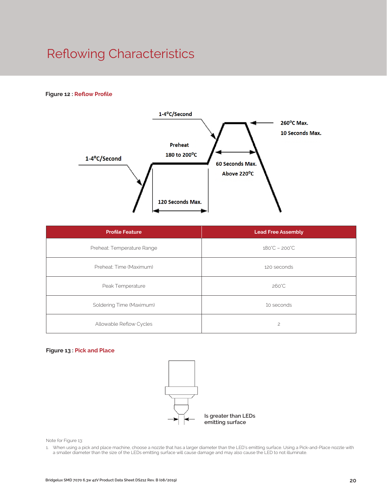# Reflowing Characteristics

## **Figure 12 : Reflow Profile**



| <b>Profile Feature</b>     | <b>Lead Free Assembly</b>     |
|----------------------------|-------------------------------|
| Preheat: Temperature Range | $180^{\circ}C - 200^{\circ}C$ |
| Preheat: Time (Maximum)    | 120 seconds                   |
| Peak Temperature           | $260^{\circ}$ C               |
| Soldering Time (Maximum)   | 10 seconds                    |
| Allowable Reflow Cycles    | $\overline{c}$                |

## **Figure 13 : Pick and Place**



Note for Figure 13:

1. When using a pick and place machine, choose a nozzle that has a larger diameter than the LED's emitting surface. Using a Pick-and-Place nozzle with a smaller diameter than the size of the LEDs emitting surface will cause damage and may also cause the LED to not illuminate.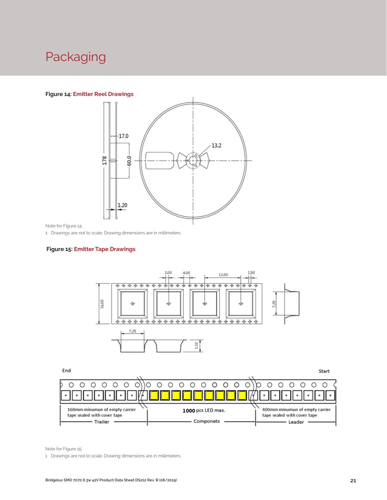# Packaging

## **Figure 14: Emitter Reel Drawings**



Note for Figure 14:

1. Drawings are not to scale. Drawing dimensions are in millimeters.

## **Figure 15: Emitter Tape Drawings**



End Start  $\circ$  $\circ$  $\bigcirc$  $\circ$ O  $\circ$  $\circ$  $\circ$  $\circ$ O O O  $\circ$ O ◯  $\circ$ Ō ∩ ∩ O  $\circ$ O  $\bullet$  $\bullet$  $\ddot{\phantom{0}}$  $\bullet$  $\bullet$ 160mm minumun of empty carrier 400mm minumun of empty carrier 1000 pcs LED max. tape sealed with cover tape tape sealed with cover tape - Componets -- Trailer · - Leader

Note for Figure 15:

1. Drawings are not to scale. Drawing dimensions are in millimeters.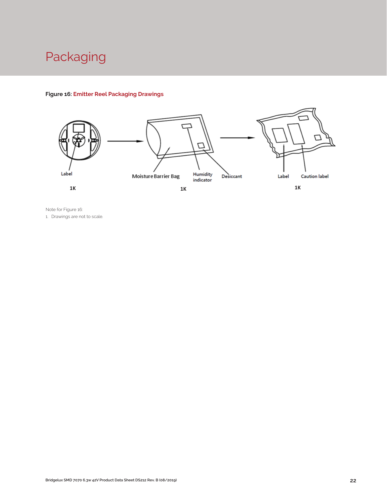

## **Figure 16: Emitter Reel Packaging Drawings**



Note for Figure 16: 1. Drawings are not to scale.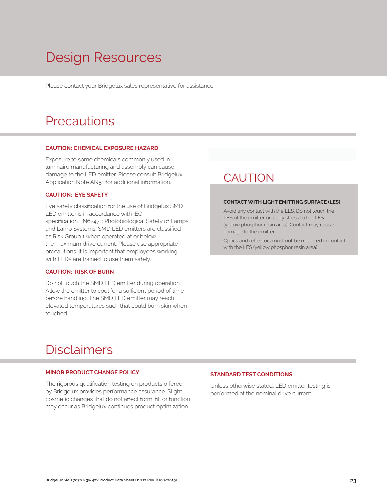# Design Resources

Please contact your Bridgelux sales representative for assistance.

# **Precautions**

### **CAUTION: CHEMICAL EXPOSURE HAZARD**

Exposure to some chemicals commonly used in luminaire manufacturing and assembly can cause damage to the LED emitter. Please consult Bridgelux Application Note AN51 for additional information.

## **CAUTION: EYE SAFETY**

Eye safety classification for the use of Bridgelux SMD LED emitter is in accordance with IEC specification EN62471: Photobiological Safety of Lamps and Lamp Systems. SMD LED emitters are classified as Risk Group 1 when operated at or below the maximum drive current. Please use appropriate precautions. It is important that employees working with LEDs are trained to use them safely.

## **CAUTION: RISK OF BURN**

Do not touch the SMD LED emitter during operation. Allow the emitter to cool for a sufficient period of time before handling. The SMD LED emitter may reach elevated temperatures such that could burn skin when touched.

# **CAUTION**

### **CONTACT WITH LIGHT EMITTING SURFACE (LES)**

Avoid any contact with the LES. Do not touch the LES of the emitter or apply stress to the LES (yellow phosphor resin area). Contact may cause damage to the emitter

Optics and reflectors must not be mounted in contact with the LES (yellow phosphor resin area).

# Disclaimers

## **MINOR PRODUCT CHANGE POLICY**

The rigorous qualification testing on products offered by Bridgelux provides performance assurance. Slight cosmetic changes that do not affect form, fit, or function may occur as Bridgelux continues product optimization.

## **STANDARD TEST CONDITIONS**

Unless otherwise stated, LED emitter testing is performed at the nominal drive current.